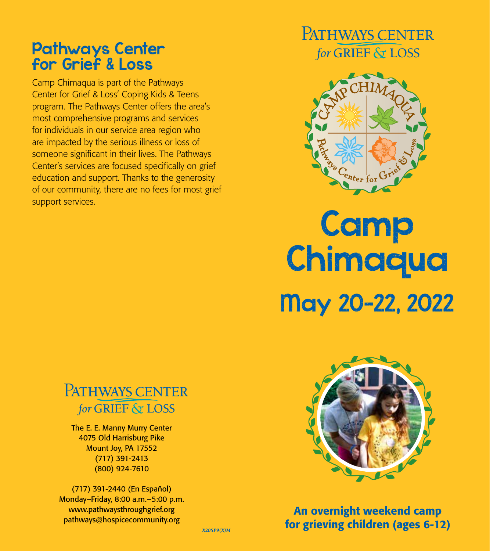#### Pathways Center for Grief & Loss

Camp Chimaqua is part of the Pathways Center for Grief & Loss' Coping Kids & Teens program. The Pathways Center offers the area's most comprehensive programs and services for individuals in our service area region who are impacted by the serious illness or loss of someone significant in their lives. The Pathways Center's services are focused specifically on grief education and support. Thanks to the generosity of our community, there are no fees for most grief support services.

### PATHWAYS CENTER for GRIEF & LOSS



# **Camp Chimaqua** May 20–22, 2022



The E. E. Manny Murry Center 4075 Old Harrisburg Pike Mount Joy, PA 17552 (717) 391-2413 (800) 924-7610

(717) 391-2440 (En Español) Monday–Friday, 8:00 a.m.–5:00 p.m. www.pathwaysthroughgrief.org pathways@hospicecommunity.org



An overnight weekend camp for grieving children (ages 6-12)